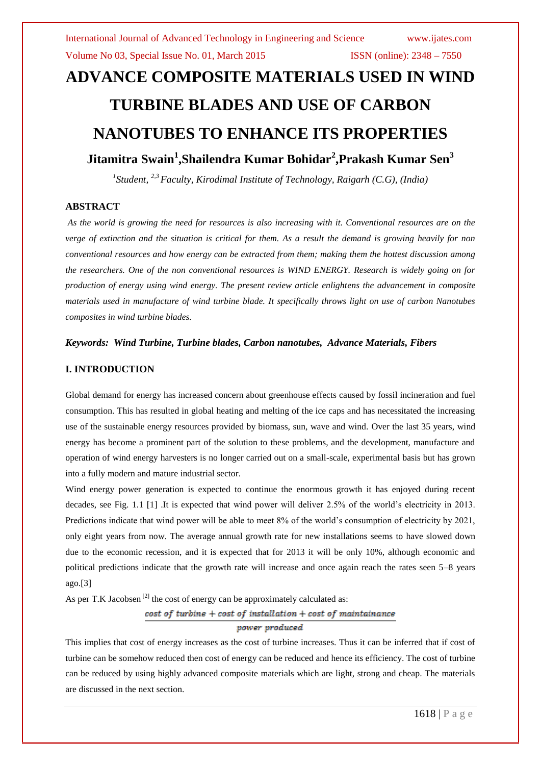# **ADVANCE COMPOSITE MATERIALS USED IN WIND TURBINE BLADES AND USE OF CARBON NANOTUBES TO ENHANCE ITS PROPERTIES**

# **Jitamitra Swain<sup>1</sup> ,Shailendra Kumar Bohidar<sup>2</sup> ,Prakash Kumar Sen<sup>3</sup>**

*1 Student, 2,3 Faculty, Kirodimal Institute of Technology, Raigarh (C.G), (India)*

#### **ABSTRACT**

*As the world is growing the need for resources is also increasing with it. Conventional resources are on the verge of extinction and the situation is critical for them. As a result the demand is growing heavily for non conventional resources and how energy can be extracted from them; making them the hottest discussion among the researchers. One of the non conventional resources is WIND ENERGY. Research is widely going on for production of energy using wind energy. The present review article enlightens the advancement in composite materials used in manufacture of wind turbine blade. It specifically throws light on use of carbon Nanotubes composites in wind turbine blades.*

#### *Keywords: Wind Turbine, Turbine blades, Carbon nanotubes, Advance Materials, Fibers*

#### **I. INTRODUCTION**

Global demand for energy has increased concern about greenhouse effects caused by fossil incineration and fuel consumption. This has resulted in global heating and melting of the ice caps and has necessitated the increasing use of the sustainable energy resources provided by biomass, sun, wave and wind. Over the last 35 years, wind energy has become a prominent part of the solution to these problems, and the development, manufacture and operation of wind energy harvesters is no longer carried out on a small-scale, experimental basis but has grown into a fully modern and mature industrial sector.

Wind energy power generation is expected to continue the enormous growth it has enjoyed during recent decades, see Fig. 1.1 [1] .It is expected that wind power will deliver 2.5% of the world's electricity in 2013. Predictions indicate that wind power will be able to meet 8% of the world's consumption of electricity by 2021, only eight years from now. The average annual growth rate for new installations seems to have slowed down due to the economic recession, and it is expected that for 2013 it will be only 10%, although economic and political predictions indicate that the growth rate will increase and once again reach the rates seen 5–8 years ago.[3]

As per T.K Jacobsen<sup>[2]</sup> the cost of energy can be approximately calculated as:

#### $cost of turbine + cost of installation + cost of maintainance$

#### power produced

This implies that cost of energy increases as the cost of turbine increases. Thus it can be inferred that if cost of turbine can be somehow reduced then cost of energy can be reduced and hence its efficiency. The cost of turbine can be reduced by using highly advanced composite materials which are light, strong and cheap. The materials are discussed in the next section.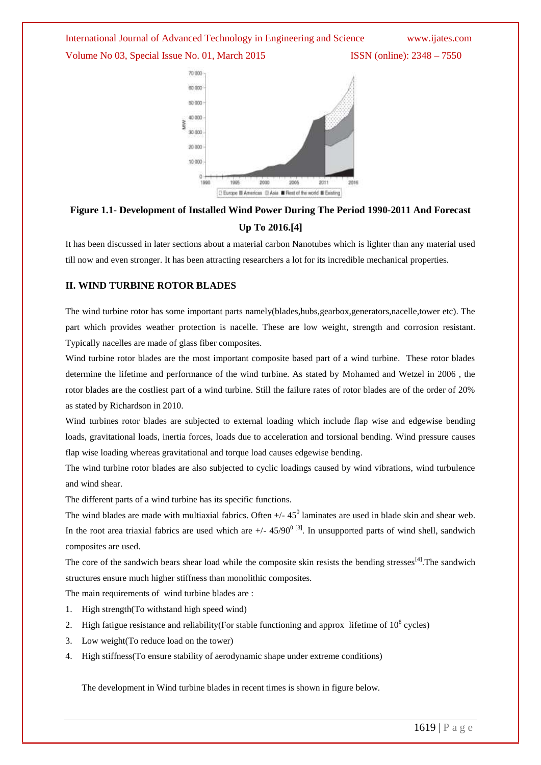International Journal of Advanced Technology in Engineering and Science www.ijates.com Volume No 03, Special Issue No. 01, March 2015 **ISSN** (online): 2348 – 7550



# **Figure 1.1- Development of Installed Wind Power During The Period 1990-2011 And Forecast Up To 2016.[4]**

It has been discussed in later sections about a material carbon Nanotubes which is lighter than any material used till now and even stronger. It has been attracting researchers a lot for its incredible mechanical properties.

#### **II. WIND TURBINE ROTOR BLADES**

The wind turbine rotor has some important parts namely(blades,hubs,gearbox,generators,nacelle,tower etc). The part which provides weather protection is nacelle. These are low weight, strength and corrosion resistant. Typically nacelles are made of glass fiber composites.

Wind turbine rotor blades are the most important composite based part of a wind turbine. These rotor blades determine the lifetime and performance of the wind turbine. As stated by Mohamed and Wetzel in 2006 , the rotor blades are the costliest part of a wind turbine. Still the failure rates of rotor blades are of the order of 20% as stated by Richardson in 2010.

Wind turbines rotor blades are subjected to external loading which include flap wise and edgewise bending loads, gravitational loads, inertia forces, loads due to acceleration and torsional bending. Wind pressure causes flap wise loading whereas gravitational and torque load causes edgewise bending.

The wind turbine rotor blades are also subjected to cyclic loadings caused by wind vibrations, wind turbulence and wind shear.

The different parts of a wind turbine has its specific functions.

The wind blades are made with multiaxial fabrics. Often  $+/$ -45<sup>0</sup> laminates are used in blade skin and shear web. In the root area triaxial fabrics are used which are  $+/- 45/90^{0}$  [3]. In unsupported parts of wind shell, sandwich composites are used.

The core of the sandwich bears shear load while the composite skin resists the bending stresses<sup>[4]</sup>. The sandwich structures ensure much higher stiffness than monolithic composites.

The main requirements of wind turbine blades are :

- 1. High strength(To withstand high speed wind)
- 2. High fatigue resistance and reliability (For stable functioning and approx lifetime of  $10^8$  cycles)
- 3. Low weight(To reduce load on the tower)
- 4. High stiffness(To ensure stability of aerodynamic shape under extreme conditions)

The development in Wind turbine blades in recent times is shown in figure below.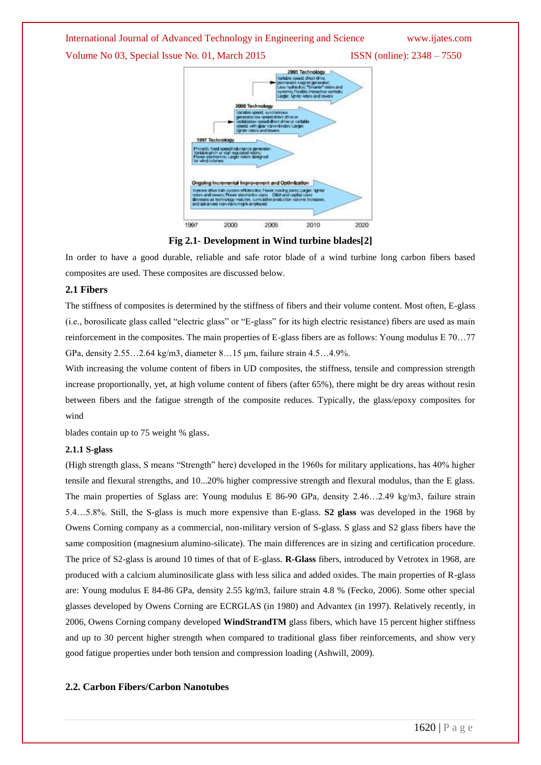# International Journal of Advanced Technology in Engineering and Science www.ijates.com

Volume No 03, Special Issue No. 01, March 2015 **ISSN** (online): 2348 – 7550



**Fig 2.1- Development in Wind turbine blades[2]**

In order to have a good durable, reliable and safe rotor blade of a wind turbine long carbon fibers based composites are used. These composites are discussed below.

#### **2.1 Fibers**

The stiffness of composites is determined by the stiffness of fibers and their volume content. Most often, E-glass (i.e., borosilicate glass called "electric glass" or "E-glass" for its high electric resistance) fibers are used as main reinforcement in the composites. The main properties of E-glass fibers are as follows: Young modulus E 70…77 GPa, density 2.55…2.64 kg/m3, diameter 8…15 μm, failure strain 4.5…4.9%.

With increasing the volume content of fibers in UD composites, the stiffness, tensile and compression strength increase proportionally, yet, at high volume content of fibers (after 65%), there might be dry areas without resin between fibers and the fatigue strength of the composite reduces. Typically, the glass/epoxy composites for wind

blades contain up to 75 weight % glass.

#### **2.1.1 S-glass**

(High strength glass, S means "Strength" here) developed in the 1960s for military applications, has 40% higher tensile and flexural strengths, and 10...20% higher compressive strength and flexural modulus, than the E glass. The main properties of Sglass are: Young modulus E 86-90 GPa, density 2.46…2.49 kg/m3, failure strain 5.4…5.8%. Still, the S-glass is much more expensive than E-glass. **S2 glass** was developed in the 1968 by Owens Corning company as a commercial, non-military version of S-glass. S glass and S2 glass fibers have the same composition (magnesium alumino-silicate). The main differences are in sizing and certification procedure. The price of S2-glass is around 10 times of that of E-glass. **R-Glass** fibers, introduced by Vetrotex in 1968, are produced with a calcium aluminosilicate glass with less silica and added oxides. The main properties of R-glass are: Young modulus E 84-86 GPa, density 2.55 kg/m3, failure strain 4.8 % (Fecko, 2006). Some other special glasses developed by Owens Corning are ECRGLAS (in 1980) and Advantex (in 1997). Relatively recently, in 2006, Owens Corning company developed **WindStrandTM** glass fibers, which have 15 percent higher stiffness and up to 30 percent higher strength when compared to traditional glass fiber reinforcements, and show very good fatigue properties under both tension and compression loading (Ashwill, 2009).

### **2.2. Carbon Fibers/Carbon Nanotubes**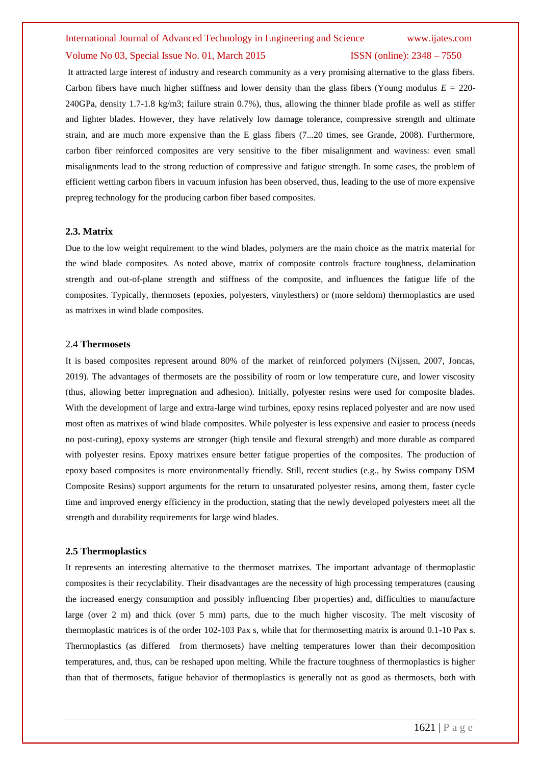## International Journal of Advanced Technology in Engineering and Science www.ijates.com Volume No 03, Special Issue No. 01, March 2015 **ISSN** (online): 2348 – 7550

It attracted large interest of industry and research community as a very promising alternative to the glass fibers. Carbon fibers have much higher stiffness and lower density than the glass fibers (Young modulus  $E = 220$ -240GPa, density 1.7-1.8 kg/m3; failure strain 0.7%), thus, allowing the thinner blade profile as well as stiffer and lighter blades. However, they have relatively low damage tolerance, compressive strength and ultimate strain, and are much more expensive than the E glass fibers (7...20 times, see Grande, 2008). Furthermore, carbon fiber reinforced composites are very sensitive to the fiber misalignment and waviness: even small misalignments lead to the strong reduction of compressive and fatigue strength. In some cases, the problem of efficient wetting carbon fibers in vacuum infusion has been observed, thus, leading to the use of more expensive prepreg technology for the producing carbon fiber based composites.

#### **2.3. Matrix**

Due to the low weight requirement to the wind blades, polymers are the main choice as the matrix material for the wind blade composites. As noted above, matrix of composite controls fracture toughness, delamination strength and out-of-plane strength and stiffness of the composite, and influences the fatigue life of the composites. Typically, thermosets (epoxies, polyesters, vinylesthers) or (more seldom) thermoplastics are used as matrixes in wind blade composites.

#### 2.4 **Thermosets**

It is based composites represent around 80% of the market of reinforced polymers (Nijssen, 2007, Joncas, 2019). The advantages of thermosets are the possibility of room or low temperature cure, and lower viscosity (thus, allowing better impregnation and adhesion). Initially, polyester resins were used for composite blades. With the development of large and extra-large wind turbines, epoxy resins replaced polyester and are now used most often as matrixes of wind blade composites. While polyester is less expensive and easier to process (needs no post-curing), epoxy systems are stronger (high tensile and flexural strength) and more durable as compared with polyester resins. Epoxy matrixes ensure better fatigue properties of the composites. The production of epoxy based composites is more environmentally friendly. Still, recent studies (e.g., by Swiss company DSM Composite Resins) support arguments for the return to unsaturated polyester resins, among them, faster cycle time and improved energy efficiency in the production, stating that the newly developed polyesters meet all the strength and durability requirements for large wind blades.

#### **2.5 Thermoplastics**

It represents an interesting alternative to the thermoset matrixes. The important advantage of thermoplastic composites is their recyclability. Their disadvantages are the necessity of high processing temperatures (causing the increased energy consumption and possibly influencing fiber properties) and, difficulties to manufacture large (over 2 m) and thick (over 5 mm) parts, due to the much higher viscosity. The melt viscosity of thermoplastic matrices is of the order 102-103 Pax s, while that for thermosetting matrix is around 0.1-10 Pax s. Thermoplastics (as differed from thermosets) have melting temperatures lower than their decomposition temperatures, and, thus, can be reshaped upon melting. While the fracture toughness of thermoplastics is higher than that of thermosets, fatigue behavior of thermoplastics is generally not as good as thermosets, both with